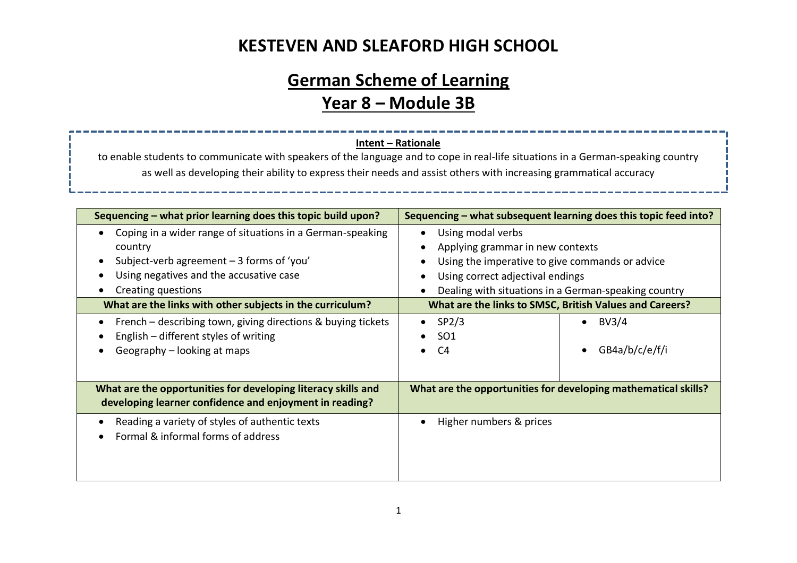#### **KESTEVEN AND SLEAFORD HIGH SCHOOL**

# **German Scheme of Learning Year 8 – Module 3B**

#### **Intent – Rationale**

to enable students to communicate with speakers of the language and to cope in real-life situations in a German-speaking country as well as developing their ability to express their needs and assist others with increasing grammatical accuracy

| Sequencing - what prior learning does this topic build upon?                                                                                                                                                                                                                                                                                     | Sequencing – what subsequent learning does this topic feed into?                                                                                                                                                                                                                                         |  |  |
|--------------------------------------------------------------------------------------------------------------------------------------------------------------------------------------------------------------------------------------------------------------------------------------------------------------------------------------------------|----------------------------------------------------------------------------------------------------------------------------------------------------------------------------------------------------------------------------------------------------------------------------------------------------------|--|--|
| Coping in a wider range of situations in a German-speaking<br>$\bullet$<br>country<br>Subject-verb agreement $-3$ forms of 'you'<br>$\bullet$<br>Using negatives and the accusative case<br>Creating questions<br>٠<br>What are the links with other subjects in the curriculum?<br>French – describing town, giving directions & buying tickets | Using modal verbs<br>Applying grammar in new contexts<br>Using the imperative to give commands or advice<br>Using correct adjectival endings<br>Dealing with situations in a German-speaking country<br>What are the links to SMSC, British Values and Careers?<br>$\bullet$ SP2/3<br>BV3/4<br>$\bullet$ |  |  |
| English – different styles of writing<br>Geography - looking at maps                                                                                                                                                                                                                                                                             | SO <sub>1</sub><br>GB4a/b/c/e/f/i<br>C4<br>$\bullet$<br>$\bullet$                                                                                                                                                                                                                                        |  |  |
| What are the opportunities for developing literacy skills and<br>developing learner confidence and enjoyment in reading?                                                                                                                                                                                                                         | What are the opportunities for developing mathematical skills?                                                                                                                                                                                                                                           |  |  |
| Reading a variety of styles of authentic texts<br>Formal & informal forms of address                                                                                                                                                                                                                                                             | Higher numbers & prices                                                                                                                                                                                                                                                                                  |  |  |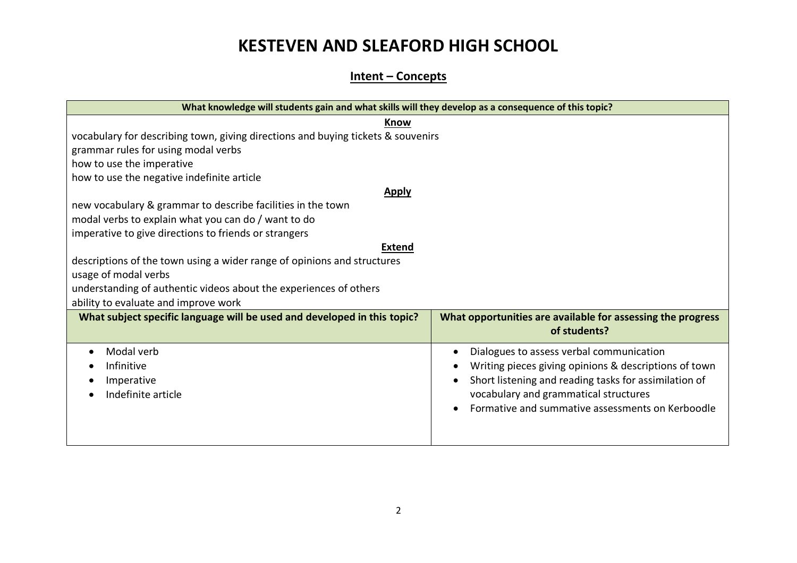## **KESTEVEN AND SLEAFORD HIGH SCHOOL**

#### **Intent – Concepts**

| What knowledge will students gain and what skills will they develop as a consequence of this topic? |                                                                             |  |  |  |
|-----------------------------------------------------------------------------------------------------|-----------------------------------------------------------------------------|--|--|--|
| Know                                                                                                |                                                                             |  |  |  |
| vocabulary for describing town, giving directions and buying tickets & souvenirs                    |                                                                             |  |  |  |
| grammar rules for using modal verbs                                                                 |                                                                             |  |  |  |
| how to use the imperative                                                                           |                                                                             |  |  |  |
| how to use the negative indefinite article                                                          |                                                                             |  |  |  |
| <b>Apply</b>                                                                                        |                                                                             |  |  |  |
| new vocabulary & grammar to describe facilities in the town                                         |                                                                             |  |  |  |
| modal verbs to explain what you can do / want to do                                                 |                                                                             |  |  |  |
| imperative to give directions to friends or strangers                                               |                                                                             |  |  |  |
| <b>Extend</b>                                                                                       |                                                                             |  |  |  |
| descriptions of the town using a wider range of opinions and structures                             |                                                                             |  |  |  |
| usage of modal verbs                                                                                |                                                                             |  |  |  |
| understanding of authentic videos about the experiences of others                                   |                                                                             |  |  |  |
| ability to evaluate and improve work                                                                |                                                                             |  |  |  |
| What subject specific language will be used and developed in this topic?                            | What opportunities are available for assessing the progress<br>of students? |  |  |  |
| Modal verb<br>$\bullet$                                                                             | Dialogues to assess verbal communication                                    |  |  |  |
| Infinitive                                                                                          | Writing pieces giving opinions & descriptions of town                       |  |  |  |
| Imperative                                                                                          | Short listening and reading tasks for assimilation of                       |  |  |  |
| Indefinite article                                                                                  | vocabulary and grammatical structures                                       |  |  |  |
|                                                                                                     | Formative and summative assessments on Kerboodle                            |  |  |  |
|                                                                                                     |                                                                             |  |  |  |
|                                                                                                     |                                                                             |  |  |  |